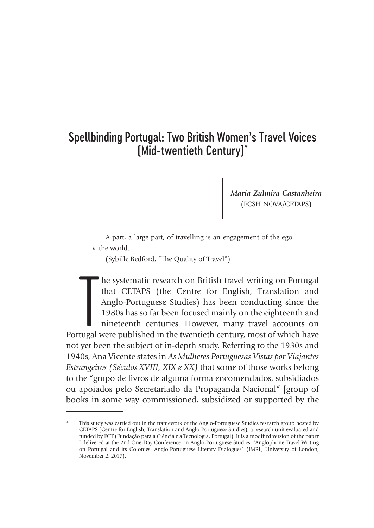# Spellbinding Portugal: Two British Women's Travel Voices (Mid-twentieth Century)\*

*Maria Zulmira Castanheira* (FCSH-NOVA/CETAPS)

A part, a large part, of travelling is an engagement of the ego v. the world.

(Sybille Bedford, "The Quality of Travel")

The systematic research on British travel writing on Portugal that CETAPS (the Centre for English, Translation and Anglo-Portuguese Studies) has been conducting since the 1980s has so far been focused mainly on the eightee he systematic research on British travel writing on Portugal that CETAPS (the Centre for English, Translation and Anglo-Portuguese Studies) has been conducting since the 1980s has so far been focused mainly on the eighteenth and nineteenth centuries. However, many travel accounts on not yet been the subject of in-depth study. Referring to the 1930s and 1940s, Ana Vicente states in *As Mulheres Portuguesas Vistas por Viajantes Estrangeiros (Séculos XVIII, XIX e XX)* that some of those works belong to the "grupo de livros de alguma forma encomendados, subsidiados ou apoiados pelo Secretariado da Propaganda Nacional" [group of books in some way commissioned, subsidized or supported by the

This study was carried out in the framework of the Anglo-Portuguese Studies research group hosted by CETAPS (Centre for English, Translation and Anglo-Portuguese Studies), a research unit evaluated and funded by FCT (Fundação para a Ciência e a Tecnologia, Portugal). It is a modified version of the paper I delivered at the 2nd One-Day Conference on Anglo-Portuguese Studies: "Anglophone Travel Writing on Portugal and its Colonies: Anglo-Portuguese Literary Dialogues" (IMRL, University of London, November 2, 2017).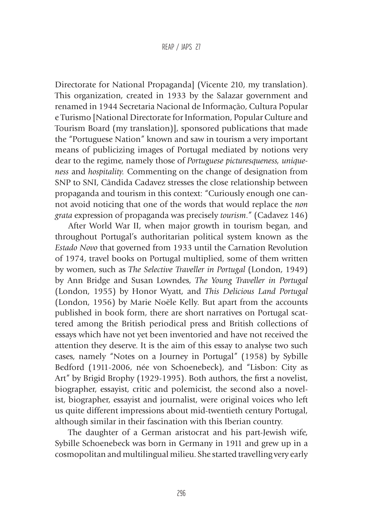Directorate for National Propaganda] (Vicente 210, my translation). This organization, created in 1933 by the Salazar government and renamed in 1944 Secretaria Nacional de Informação, Cultura Popular e Turismo [National Directorate for Information, Popular Culture and Tourism Board (my translation)], sponsored publications that made the "Portuguese Nation" known and saw in tourism a very important means of publicizing images of Portugal mediated by notions very dear to the regime, namely those of *Portuguese picturesqueness, uniqueness* and *hospitality.* Commenting on the change of designation from SNP to SNI, Cândida Cadavez stresses the close relationship between propaganda and tourism in this context: "Curiously enough one cannot avoid noticing that one of the words that would replace the *non grata* expression of propaganda was precisely *tourism*." (Cadavez 146)

After World War II, when major growth in tourism began, and throughout Portugal's authoritarian political system known as the *Estado Novo* that governed from 1933 until the Carnation Revolution of 1974, travel books on Portugal multiplied, some of them written by women, such as *The Selective Traveller in Portugal* (London, 1949) by Ann Bridge and Susan Lowndes, *The Young Traveller in Portugal* (London, 1955) by Honor Wyatt, and *This Delicious Land Portugal*  (London, 1956) by Marie Noële Kelly. But apart from the accounts published in book form, there are short narratives on Portugal scattered among the British periodical press and British collections of essays which have not yet been inventoried and have not received the attention they deserve. It is the aim of this essay to analyse two such cases, namely "Notes on a Journey in Portugal" (1958) by Sybille Bedford (1911-2006, née von Schoenebeck), and "Lisbon: City as Art" by Brigid Brophy (1929-1995). Both authors, the first a novelist, biographer, essayist, critic and polemicist, the second also a novelist, biographer, essayist and journalist, were original voices who left us quite different impressions about mid-twentieth century Portugal, although similar in their fascination with this Iberian country.

The daughter of a German aristocrat and his part-Jewish wife, Sybille Schoenebeck was born in Germany in 1911 and grew up in a cosmopolitan and multilingual milieu. She started travelling very early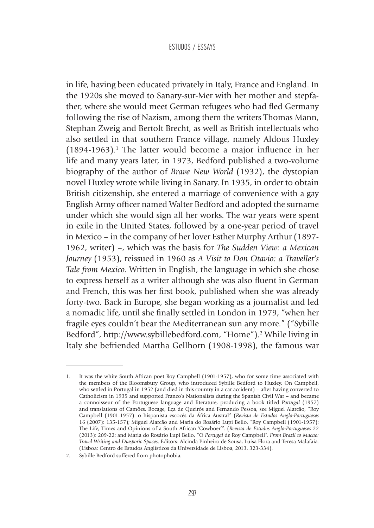in life, having been educated privately in Italy, France and England. In the 1920s she moved to Sanary-sur-Mer with her mother and stepfather, where she would meet German refugees who had fled Germany following the rise of Nazism, among them the writers Thomas Mann, Stephan Zweig and Bertolt Brecht, as well as British intellectuals who also settled in that southern France village, namely Aldous Huxley  $(1894-1963).$ <sup>1</sup> The latter would become a major influence in her life and many years later, in 1973, Bedford published a two-volume biography of the author of *Brave New World* (1932), the dystopian novel Huxley wrote while living in Sanary. In 1935, in order to obtain British citizenship, she entered a marriage of convenience with a gay English Army officer named Walter Bedford and adopted the surname under which she would sign all her works. The war years were spent in exile in the United States, followed by a one-year period of travel in Mexico – in the company of her lover Esther Murphy Arthur (1897- 1962, writer) –, which was the basis for *The Sudden View: a Mexican Journey* (1953), reissued in 1960 as *A Visit to Don Otavio: a Traveller's Tale from Mexico*. Written in English, the language in which she chose to express herself as a writer although she was also fluent in German and French, this was her first book, published when she was already forty-two. Back in Europe, she began working as a journalist and led a nomadic life, until she finally settled in London in 1979, "when her fragile eyes couldn't bear the Mediterranean sun any more." ("Sybille Bedford", http://www.sybillebedford.com, "Home").<sup>2</sup> While living in Italy she befriended Martha Gellhorn (1908-1998), the famous war

<sup>1.</sup> It was the white South African poet Roy Campbell (1901-1957), who for some time associated with the members of the Bloomsbury Group, who introduced Sybille Bedford to Huxley. On Campbell, who settled in Portugal in 1952 (and died in this country in a car accident) – after having converted to Catholicism in 1935 and supported Franco's Nationalists during the Spanish Civil War – and became a connoisseur of the Portuguese language and literature, producing a book titled *Portugal* (1957) and translations of Camões, Bocage, Eça de Queirós and Fernando Pessoa, see Miguel Alarcão, "Roy Campbell (1901-1957): o hispanista escocês da África Austral" (*Revista de Estudos Anglo-Portugueses* 16 (2007): 135-157); Miguel Alarcão and Maria do Rosário Lupi Bello, "Roy Campbell (1901-1957): The Life, Times and Opinions of a South African 'Cowboer'". (*Revista de Estudos Anglo-Portugueses* 22 (2013): 209-22; and Maria do Rosário Lupi Bello, "O *Portugal* de Roy Campbell". *From Brazil to Macao: Travel Writing and Diasporic Spaces*. Editors: Alcinda Pinheiro de Sousa, Luísa Flora and Teresa Malafaia. (Lisboa: Centro de Estudos Anglísticos da Universidade de Lisboa, 2013. 323-334).

<sup>2.</sup> Sybille Bedford suffered from photophobia.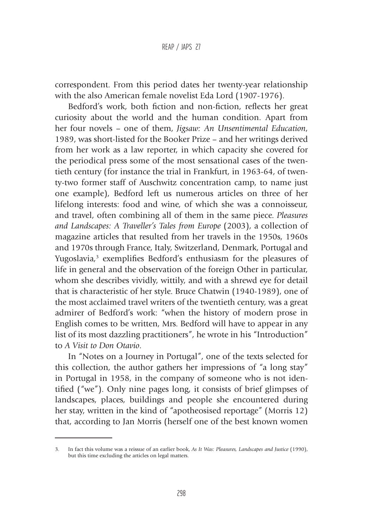correspondent. From this period dates her twenty-year relationship with the also American female novelist Eda Lord (1907-1976).

Bedford's work, both fiction and non-fiction, reflects her great curiosity about the world and the human condition. Apart from her four novels – one of them, *Jigsaw: An Unsentimental Education*, 1989, was short-listed for the Booker Prize – and her writings derived from her work as a law reporter, in which capacity she covered for the periodical press some of the most sensational cases of the twentieth century (for instance the trial in Frankfurt, in 1963-64, of twenty-two former staff of Auschwitz concentration camp, to name just one example), Bedford left us numerous articles on three of her lifelong interests: food and wine, of which she was a connoisseur, and travel, often combining all of them in the same piece. *Pleasures and Landscapes: A Traveller's Tales from Europe* (2003), a collection of magazine articles that resulted from her travels in the 1950s, 1960s and 1970s through France, Italy, Switzerland, Denmark, Portugal and Yugoslavia,<sup>3</sup> exemplifies Bedford's enthusiasm for the pleasures of life in general and the observation of the foreign Other in particular, whom she describes vividly, wittily, and with a shrewd eye for detail that is characteristic of her style. Bruce Chatwin (1940-1989), one of the most acclaimed travel writers of the twentieth century, was a great admirer of Bedford's work: "when the history of modern prose in English comes to be written, Mrs. Bedford will have to appear in any list of its most dazzling practitioners", he wrote in his "Introduction" to *A Visit to Don Otavio*.

In "Notes on a Journey in Portugal", one of the texts selected for this collection, the author gathers her impressions of "a long stay" in Portugal in 1958, in the company of someone who is not identified ("we"). Only nine pages long, it consists of brief glimpses of landscapes, places, buildings and people she encountered during her stay, written in the kind of "apotheosised reportage" (Morris 12) that, according to Jan Morris (herself one of the best known women

<sup>3.</sup> In fact this volume was a reissue of an earlier book, *As It Was: Pleasures, Landscapes and Justice* (1990), but this time excluding the articles on legal matters.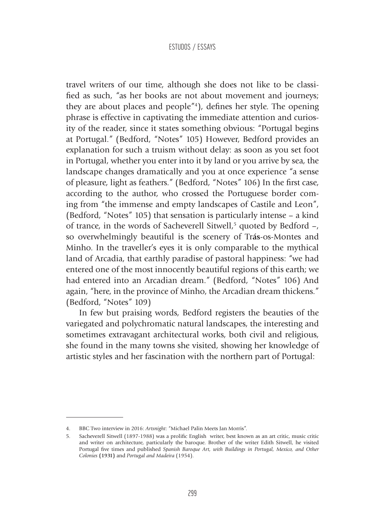travel writers of our time, although she does not like to be classified as such, "as her books are not about movement and journeys; they are about places and people"4 ), defines her style. The opening phrase is effective in captivating the immediate attention and curiosity of the reader, since it states something obvious: "Portugal begins at Portugal." (Bedford, "Notes" 105) However, Bedford provides an explanation for such a truism without delay: as soon as you set foot in Portugal, whether you enter into it by land or you arrive by sea, the landscape changes dramatically and you at once experience "a sense of pleasure, light as feathers." (Bedford, "Notes" 106) In the first case, according to the author, who crossed the Portuguese border coming from "the immense and empty landscapes of Castile and Leon", (Bedford, "Notes" 105) that sensation is particularly intense – a kind of trance, in the words of Sacheverell Sitwell,<sup>5</sup> quoted by Bedford -, so overwhelmingly beautiful is the scenery of Tr**ás**-os-Montes and Minho. In the traveller's eyes it is only comparable to the mythical land of Arcadia, that earthly paradise of pastoral happiness: "we had entered one of the most innocently beautiful regions of this earth; we had entered into an Arcadian dream." (Bedford, "Notes" 106) And again, "here, in the province of Minho, the Arcadian dream thickens." (Bedford, "Notes" 109)

In few but praising words, Bedford registers the beauties of the variegated and polychromatic natural landscapes, the interesting and sometimes extravagant architectural works, both civil and religious, she found in the many towns she visited, showing her knowledge of artistic styles and her fascination with the northern part of Portugal:

<sup>4.</sup> BBC Two interview in 2016: *Artsnight*: "Michael Palin Meets Jan Morris".

<sup>5.</sup> Sacheverell Sitwell (1897-1988) was a prolific English writer, best known as an art critic, music critic and writer on architecture, particularly the baroque. Brother of the writer Edith Sitwell, he visited Portugal five times and published *Spanish Baroque Art, with Buildings in Portugal, Mexico, and Other Colonies* **(1931)** and *Portugal and Madeira* (1954).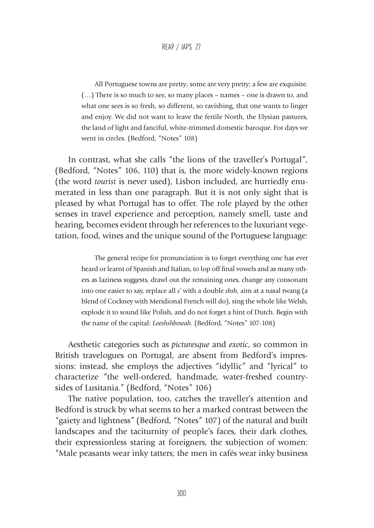All Portuguese towns are pretty; some are very pretty; a few are exquisite. (…) There is so much to see, so many places – names – one is drawn to, and what one sees is so fresh, so different, so ravishing, that one wants to linger and enjoy. We did not want to leave the fertile North, the Elysian pastures, the land of light and fanciful, white-trimmed domestic baroque. For days we went in circles. (Bedford, "Notes" 108)

In contrast, what she calls "the lions of the traveller's Portugal", (Bedford, "Notes" 106, 110) that is, the more widely-known regions (the word *tourist* is never used), Lisbon included, are hurriedly enumerated in less than one paragraph. But it is not only sight that is pleased by what Portugal has to offer. The role played by the other senses in travel experience and perception, namely smell, taste and hearing, becomes evident through her references to the luxuriant vegetation, food, wines and the unique sound of the Portuguese language:

> The general recipe for pronunciation is to forget everything one has ever heard or learnt of Spanish and Italian, to lop off final vowels and as many others as laziness suggests, drawl out the remaining ones, change any consonant into one easier to say, replace all *s'* with a double *shsh*, aim at a nasal twang (a blend of Cockney with Meridional French will do), sing the whole like Welsh, explode it to sound like Polish, and do not forget a hint of Dutch. Begin with the name of the capital: *Leeshshbowah*. (Bedford, "Notes" 107-108)

Aesthetic categories such as *picturesque* and *exotic*, so common in British travelogues on Portugal, are absent from Bedford's impressions: instead, she employs the adjectives "idyllic" and "lyrical" to characterize "the well-ordered, handmade, water-freshed countrysides of Lusitania." (Bedford, "Notes" 106)

The native population, too, catches the traveller's attention and Bedford is struck by what seems to her a marked contrast between the "gaiety and lightness" (Bedford, "Notes" 107) of the natural and built landscapes and the taciturnity of people's faces, their dark clothes, their expressionless staring at foreigners, the subjection of women: "Male peasants wear inky tatters; the men in cafés wear inky business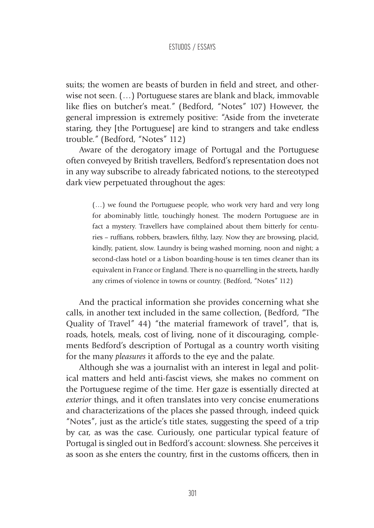suits; the women are beasts of burden in field and street, and otherwise not seen. (…) Portuguese stares are blank and black, immovable like flies on butcher's meat." (Bedford, "Notes" 107) However, the general impression is extremely positive: "Aside from the inveterate staring, they [the Portuguese] are kind to strangers and take endless trouble." (Bedford, "Notes" 112)

Aware of the derogatory image of Portugal and the Portuguese often conveyed by British travellers, Bedford's representation does not in any way subscribe to already fabricated notions, to the stereotyped dark view perpetuated throughout the ages:

> (…) we found the Portuguese people, who work very hard and very long for abominably little, touchingly honest. The modern Portuguese are in fact a mystery. Travellers have complained about them bitterly for centuries – ruffians, robbers, brawlers, filthy, lazy. Now they are browsing, placid, kindly, patient, slow. Laundry is being washed morning, noon and night; a second-class hotel or a Lisbon boarding-house is ten times cleaner than its equivalent in France or England. There is no quarrelling in the streets, hardly any crimes of violence in towns or country. (Bedford, "Notes" 112)

And the practical information she provides concerning what she calls, in another text included in the same collection, (Bedford, "The Quality of Travel" 44) "the material framework of travel", that is, roads, hotels, meals, cost of living, none of it discouraging, complements Bedford's description of Portugal as a country worth visiting for the many *pleasures* it affords to the eye and the palate.

Although she was a journalist with an interest in legal and political matters and held anti-fascist views, she makes no comment on the Portuguese regime of the time. Her gaze is essentially directed at *exterior* things, and it often translates into very concise enumerations and characterizations of the places she passed through, indeed quick "Notes", just as the article's title states, suggesting the speed of a trip by car, as was the case. Curiously, one particular typical feature of Portugal is singled out in Bedford's account: slowness. She perceives it as soon as she enters the country, first in the customs officers, then in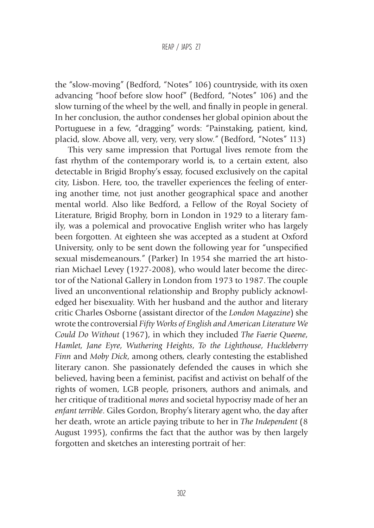#### REAP / JAPS 27

the "slow-moving" (Bedford, "Notes" 106) countryside, with its oxen advancing "hoof before slow hoof" (Bedford, "Notes" 106) and the slow turning of the wheel by the well, and finally in people in general. In her conclusion, the author condenses her global opinion about the Portuguese in a few, "dragging" words: "Painstaking, patient, kind, placid, slow. Above all, very, very, very slow." (Bedford, "Notes" 113)

This very same impression that Portugal lives remote from the fast rhythm of the contemporary world is, to a certain extent, also detectable in Brigid Brophy's essay, focused exclusively on the capital city, Lisbon. Here, too, the traveller experiences the feeling of entering another time, not just another geographical space and another mental world. Also like Bedford, a Fellow of the Royal Society of Literature, Brigid Brophy, born in London in 1929 to a literary family, was a polemical and provocative English writer who has largely been forgotten. At eighteen she was accepted as a student at Oxford University, only to be sent down the following year for "unspecified sexual misdemeanours." (Parker) In 1954 she married the art historian Michael Levey (1927-2008), who would later become the director of the National Gallery in London from 1973 to 1987. The couple lived an unconventional relationship and Brophy publicly acknowledged her bisexuality. With her husband and the author and literary critic Charles Osborne (assistant director of the *London Magazine*) she wrote the controversial *Fifty Works of English and American Literature We Could Do Without* (1967), in which they included *The Faerie Queene*, *Hamlet, Jane Eyre*, *Wuthering Heights*, *To the Lighthouse*, *Huckleberry Finn* and *Moby Dick*, among others, clearly contesting the established literary canon. She passionately defended the causes in which she believed, having been a feminist, pacifist and activist on behalf of the rights of women, LGB people, prisoners, authors and animals, and her critique of traditional *mores* and societal hypocrisy made of her an *enfant terrible*. Giles Gordon, Brophy's literary agent who, the day after her death, wrote an article paying tribute to her in *The Independent* (8 August 1995), confirms the fact that the author was by then largely forgotten and sketches an interesting portrait of her: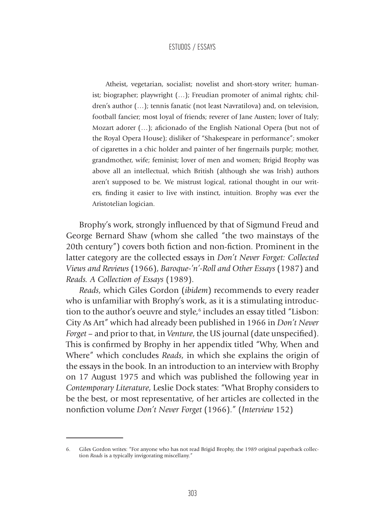Atheist, vegetarian, socialist; novelist and short-story writer; humanist; biographer; playwright (…); Freudian promoter of animal rights; children's author (…); tennis fanatic (not least Navratilova) and, on television, football fancier; most loyal of friends; reverer of Jane Austen; lover of Italy; Mozart adorer (…); aficionado of the English National Opera (but not of the Royal Opera House); disliker of "Shakespeare in performance"; smoker of cigarettes in a chic holder and painter of her fingernails purple; mother, grandmother, wife; feminist; lover of men and women; Brigid Brophy was above all an intellectual, which British (although she was Irish) authors aren't supposed to be. We mistrust logical, rational thought in our writers, finding it easier to live with instinct, intuition. Brophy was ever the Aristotelian logician.

Brophy's work, strongly influenced by that of Sigmund Freud and George Bernard Shaw (whom she called "the two mainstays of the 20th century") covers both fiction and non-fiction. Prominent in the latter category are the collected essays in *Don't Never Forget: Collected Views and Reviews* (1966), *Baroque-'n'-Roll and Other Essays* (1987) and *Reads. A Collection of Essays* (1989).

*Reads*, which Giles Gordon (*ibidem*) recommends to every reader who is unfamiliar with Brophy's work, as it is a stimulating introduction to the author's oeuvre and style,<sup>6</sup> includes an essay titled "Lisbon: City As Art" which had already been published in 1966 in *Don't Never Forget* – and prior to that, in *Venture*, the US journal (date unspecified). This is confirmed by Brophy in her appendix titled "Why, When and Where" which concludes *Reads*, in which she explains the origin of the essays in the book. In an introduction to an interview with Brophy on 17 August 1975 and which was published the following year in *Contemporary Literature*, Leslie Dock states: "What Brophy considers to be the best, or most representative, of her articles are collected in the nonfiction volume *Don't Never Forget* (1966)." (*Interview* 152)

<sup>6.</sup> Giles Gordon writes: "For anyone who has not read Brigid Brophy, the 1989 original paperback collection *Reads* is a typically invigorating miscellany."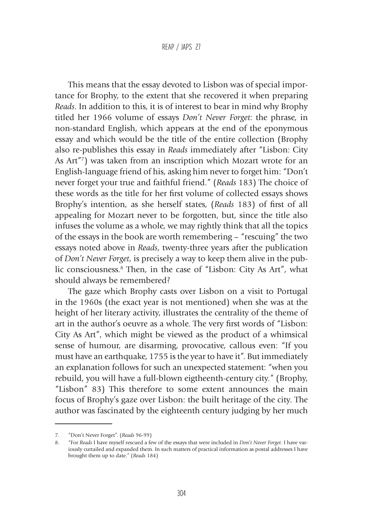This means that the essay devoted to Lisbon was of special importance for Brophy, to the extent that she recovered it when preparing *Reads*. In addition to this, it is of interest to bear in mind why Brophy titled her 1966 volume of essays *Don't Never Forget*: the phrase, in non-standard English, which appears at the end of the eponymous essay and which would be the title of the entire collection (Brophy also re-publishes this essay in *Reads* immediately after "Lisbon: City As Art"7 ) was taken from an inscription which Mozart wrote for an English-language friend of his, asking him never to forget him: "Don't never forget your true and faithful friend." (*Reads* 183) The choice of these words as the title for her first volume of collected essays shows Brophy's intention, as she herself states, (*Reads* 183) of first of all appealing for Mozart never to be forgotten, but, since the title also infuses the volume as a whole, we may rightly think that all the topics of the essays in the book are worth remembering – "rescuing" the two essays noted above in *Reads*, twenty-three years after the publication of *Don't Never Forget*, is precisely a way to keep them alive in the public consciousness.8 Then, in the case of "Lisbon: City As Art", what should always be remembered?

The gaze which Brophy casts over Lisbon on a visit to Portugal in the 1960s (the exact year is not mentioned) when she was at the height of her literary activity, illustrates the centrality of the theme of art in the author's oeuvre as a whole. The very first words of "Lisbon: City As Art", which might be viewed as the product of a whimsical sense of humour, are disarming, provocative, callous even: "If you must have an earthquake, 1755 is the year to have it". But immediately an explanation follows for such an unexpected statement: "when you rebuild, you will have a full-blown eigtheenth-century city." (Brophy, "Lisbon" 83) This therefore to some extent announces the main focus of Brophy's gaze over Lisbon: the built heritage of the city. The author was fascinated by the eighteenth century judging by her much

<sup>7.</sup> "Don't Never Forget". (*Reads* 96-99)

<sup>8.</sup> "For *Reads* I have myself rescued a few of the essays that were included in *Don't Never Forget*. I have variously curtailed and expanded them. In such matters of practical information as postal addresses I have brought them up to date." (*Reads* 184)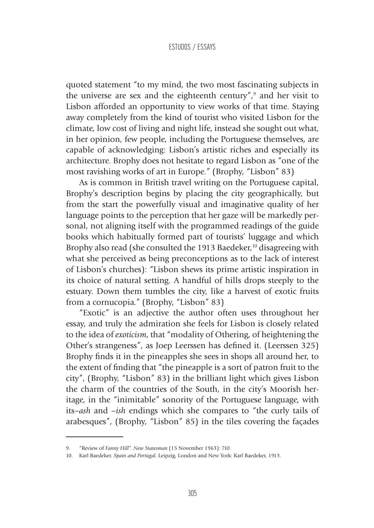quoted statement "to my mind, the two most fascinating subjects in the universe are sex and the eighteenth century", $\delta$  and her visit to Lisbon afforded an opportunity to view works of that time. Staying away completely from the kind of tourist who visited Lisbon for the climate, low cost of living and night life, instead she sought out what, in her opinion, few people, including the Portuguese themselves, are capable of acknowledging: Lisbon's artistic riches and especially its architecture. Brophy does not hesitate to regard Lisbon as "one of the most ravishing works of art in Europe." (Brophy, "Lisbon" 83)

As is common in British travel writing on the Portuguese capital, Brophy's description begins by placing the city geographically, but from the start the powerfully visual and imaginative quality of her language points to the perception that her gaze will be markedly personal, not aligning itself with the programmed readings of the guide books which habitually formed part of tourists' luggage and which Brophy also read (she consulted the 1913 Baedeker, $10$  disagreeing with what she perceived as being preconceptions as to the lack of interest of Lisbon's churches): "Lisbon shews its prime artistic inspiration in its choice of natural setting. A handful of hills drops steeply to the estuary. Down them tumbles the city, like a harvest of exotic fruits from a cornucopia." (Brophy, "Lisbon" 83)

"Exotic" is an adjective the author often uses throughout her essay, and truly the admiration she feels for Lisbon is closely related to the idea of *exoticism*, that "modality of Othering, of heightening the Other's strangeness", as Joep Leerssen has defined it. (Leerssen 325) Brophy finds it in the pineapples she sees in shops all around her, to the extent of finding that "the pineapple is a sort of patron fruit to the city", (Brophy, "Lisbon" 83) in the brilliant light which gives Lisbon the charm of the countries of the South, in the city's Moorish heritage, in the "inimitable" sonority of the Portuguese language, with its*–ash* and *–ish* endings which she compares to "the curly tails of arabesques", (Brophy, "Lisbon" 85) in the tiles covering the façades

<sup>9.</sup> "Review of *Fanny Hill*". *New Statesman* (15 November 1963): 710.

<sup>10.</sup> Karl Baedeker. *Spain and Portugal*. Leipzig, London and New York: Karl Baedeker, 1913.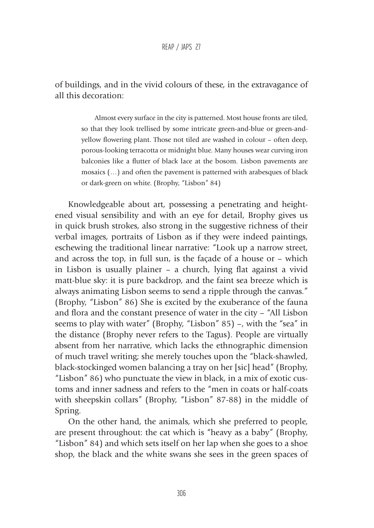of buildings, and in the vivid colours of these, in the extravagance of all this decoration:

> Almost every surface in the city is patterned. Most house fronts are tiled, so that they look trellised by some intricate green-and-blue or green-andyellow flowering plant. Those not tiled are washed in colour – often deep, porous-looking terracotta or midnight blue. Many houses wear curving iron balconies like a flutter of black lace at the bosom. Lisbon pavements are mosaics (…) and often the pavement is patterned with arabesques of black or dark-green on white. (Brophy, "Lisbon" 84)

Knowledgeable about art, possessing a penetrating and heightened visual sensibility and with an eye for detail, Brophy gives us in quick brush strokes, also strong in the suggestive richness of their verbal images, portraits of Lisbon as if they were indeed paintings, eschewing the traditional linear narrative: "Look up a narrow street, and across the top, in full sun, is the façade of a house or – which in Lisbon is usually plainer – a church, lying flat against a vivid matt-blue sky: it is pure backdrop, and the faint sea breeze which is always animating Lisbon seems to send a ripple through the canvas." (Brophy, "Lisbon" 86) She is excited by the exuberance of the fauna and flora and the constant presence of water in the city – "All Lisbon seems to play with water" (Brophy, "Lisbon" 85) –, with the "sea" in the distance (Brophy never refers to the Tagus). People are virtually absent from her narrative, which lacks the ethnographic dimension of much travel writing; she merely touches upon the "black-shawled, black-stockinged women balancing a tray on her [sic] head" (Brophy, "Lisbon" 86) who punctuate the view in black, in a mix of exotic customs and inner sadness and refers to the "men in coats or half-coats with sheepskin collars" (Brophy, "Lisbon" 87-88) in the middle of Spring.

On the other hand, the animals, which she preferred to people, are present throughout: the cat which is "heavy as a baby" (Brophy, "Lisbon" 84) and which sets itself on her lap when she goes to a shoe shop, the black and the white swans she sees in the green spaces of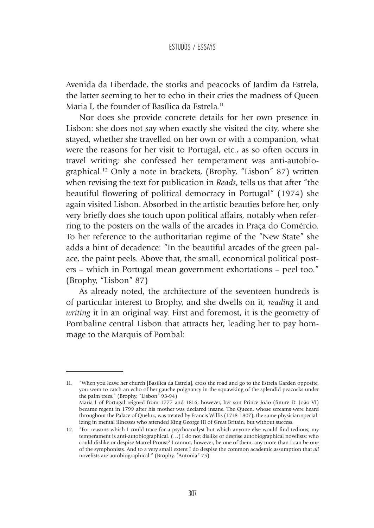Avenida da Liberdade, the storks and peacocks of Jardim da Estrela, the latter seeming to her to echo in their cries the madness of Queen Maria I, the founder of Basílica da Estrela.<sup>11</sup>

Nor does she provide concrete details for her own presence in Lisbon: she does not say when exactly she visited the city, where she stayed, whether she travelled on her own or with a companion, what were the reasons for her visit to Portugal, etc., as so often occurs in travel writing; she confessed her temperament was anti-autobiographical.12 Only a note in brackets, (Brophy, "Lisbon" 87) written when revising the text for publication in *Reads*, tells us that after "the beautiful flowering of political democracy in Portugal" (1974) she again visited Lisbon. Absorbed in the artistic beauties before her, only very briefly does she touch upon political affairs, notably when referring to the posters on the walls of the arcades in Praça do Comércio. To her reference to the authoritarian regime of the "New State" she adds a hint of decadence: "In the beautiful arcades of the green palace, the paint peels. Above that, the small, economical political posters – which in Portugal mean government exhortations – peel too." (Brophy, "Lisbon" 87)

As already noted, the architecture of the seventeen hundreds is of particular interest to Brophy, and she dwells on it, *reading* it and *writing* it in an original way. First and foremost, it is the geometry of Pombaline central Lisbon that attracts her, leading her to pay hommage to the Marquis of Pombal:

<sup>11.</sup> "When you leave her church [Basílica da Estrela], cross the road and go to the Estrela Garden opposite, you seem to catch an echo of her gauche poignancy in the squawking of the splendid peacocks under the palm trees." (Brophy, "Lisbon" 93-94) Maria I of Portugal reigned from 1777 and 1816; however, her son Prince João (future D. João VI) became regent in 1799 after his mother was declared insane. The Queen, whose screams were heard throughout the Palace of Queluz, was treated by Francis Willis (1718-1807), the same physician specializing in mental illnesses who attended King George III of Great Britain, but without success.

<sup>12.</sup> "For reasons which I could trace for a psychoanalyst but which anyone else would find tedious, my temperament is anti-autobiographical. (…) I do not dislike or despise autobiographical novelists: who could dislike or despise Marcel Proust? I cannot, however, be one of them, any more than I can be one of the symphonists. And to a very small extent I do despise the common academic assumption that *all* novelists are autobiographical." (Brophy, "Antonia" 75)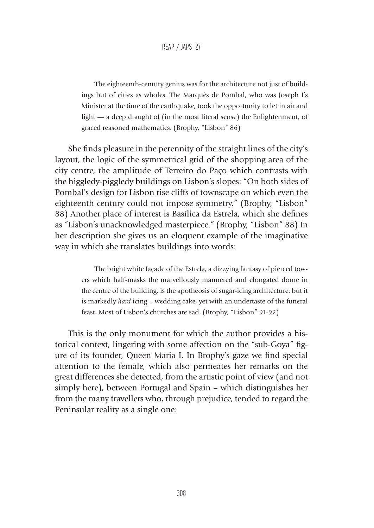The eighteenth-century genius was for the architecture not just of buildings but of cities as wholes. The Marquês de Pombal, who was Joseph I's Minister at the time of the earthquake, took the opportunity to let in air and light — a deep draught of (in the most literal sense) the Enlightenment, of graced reasoned mathematics. (Brophy, "Lisbon" 86)

She finds pleasure in the perennity of the straight lines of the city's layout, the logic of the symmetrical grid of the shopping area of the city centre, the amplitude of Terreiro do Paço which contrasts with the higgledy-piggledy buildings on Lisbon's slopes: "On both sides of Pombal's design for Lisbon rise cliffs of townscape on which even the eighteenth century could not impose symmetry." (Brophy, "Lisbon" 88) Another place of interest is Basílica da Estrela, which she defines as "Lisbon's unacknowledged masterpiece." (Brophy, "Lisbon" 88) In her description she gives us an eloquent example of the imaginative way in which she translates buildings into words:

> The bright white façade of the Estrela, a dizzying fantasy of pierced towers which half-masks the marvellously mannered and elongated dome in the centre of the building, is the apotheosis of sugar-icing architecture: but it is markedly *hard* icing – wedding cake, yet with an undertaste of the funeral feast. Most of Lisbon's churches are sad. (Brophy, "Lisbon" 91-92)

This is the only monument for which the author provides a historical context, lingering with some affection on the "sub-Goya" figure of its founder, Queen Maria I. In Brophy's gaze we find special attention to the female, which also permeates her remarks on the great differences she detected, from the artistic point of view (and not simply here), between Portugal and Spain – which distinguishes her from the many travellers who, through prejudice, tended to regard the Peninsular reality as a single one: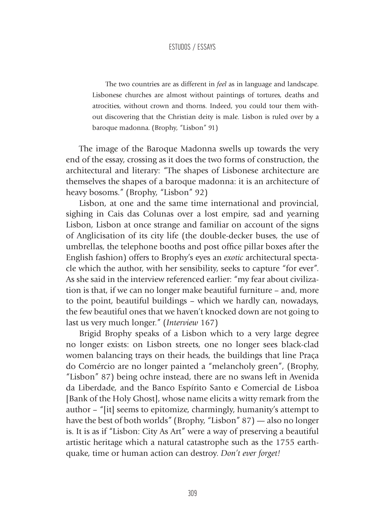The two countries are as different in *feel* as in language and landscape. Lisbonese churches are almost without paintings of tortures, deaths and atrocities, without crown and thorns. Indeed, you could tour them without discovering that the Christian deity is male. Lisbon is ruled over by a baroque madonna. (Brophy, "Lisbon" 91)

The image of the Baroque Madonna swells up towards the very end of the essay, crossing as it does the two forms of construction, the architectural and literary: "The shapes of Lisbonese architecture are themselves the shapes of a baroque madonna: it is an architecture of heavy bosoms." (Brophy, "Lisbon" 92)

Lisbon, at one and the same time international and provincial, sighing in Cais das Colunas over a lost empire, sad and yearning Lisbon, Lisbon at once strange and familiar on account of the signs of Anglicisation of its city life (the double-decker buses, the use of umbrellas, the telephone booths and post office pillar boxes after the English fashion) offers to Brophy's eyes an *exotic* architectural spectacle which the author, with her sensibility, seeks to capture "for ever". As she said in the interview referenced earlier: "my fear about civilization is that, if we can no longer make beautiful furniture – and, more to the point, beautiful buildings – which we hardly can, nowadays, the few beautiful ones that we haven't knocked down are not going to last us very much longer." (*Interview* 167)

Brigid Brophy speaks of a Lisbon which to a very large degree no longer exists: on Lisbon streets, one no longer sees black-clad women balancing trays on their heads, the buildings that line Praça do Comércio are no longer painted a "melancholy green", (Brophy, "Lisbon" 87) being ochre instead, there are no swans left in Avenida da Liberdade, and the Banco Espírito Santo e Comercial de Lisboa [Bank of the Holy Ghost], whose name elicits a witty remark from the author – "[it] seems to epitomize, charmingly, humanity's attempt to have the best of both worlds" (Brophy, "Lisbon" 87) — also no longer is. It is as if "Lisbon: City As Art" were a way of preserving a beautiful artistic heritage which a natural catastrophe such as the 1755 earthquake, time or human action can destroy. *Don't ever forget!*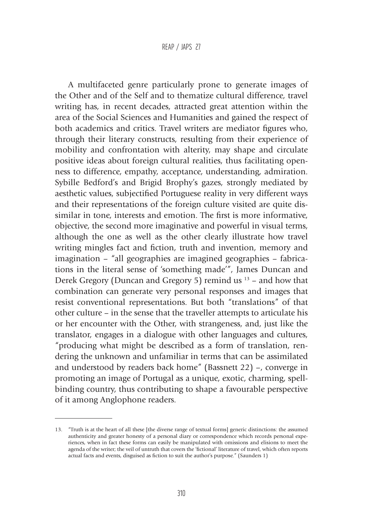A multifaceted genre particularly prone to generate images of the Other and of the Self and to thematize cultural difference, travel writing has, in recent decades, attracted great attention within the area of the Social Sciences and Humanities and gained the respect of both academics and critics. Travel writers are mediator figures who, through their literary constructs, resulting from their experience of mobility and confrontation with alterity, may shape and circulate positive ideas about foreign cultural realities, thus facilitating openness to difference, empathy, acceptance, understanding, admiration. Sybille Bedford's and Brigid Brophy's gazes, strongly mediated by aesthetic values, subjectified Portuguese reality in very different ways and their representations of the foreign culture visited are quite dissimilar in tone, interests and emotion. The first is more informative, objective, the second more imaginative and powerful in visual terms, although the one as well as the other clearly illustrate how travel writing mingles fact and fiction, truth and invention, memory and imagination – "all geographies are imagined geographies – fabrications in the literal sense of 'something made'", James Duncan and Derek Gregory (Duncan and Gregory 5) remind us  $13$  – and how that combination can generate very personal responses and images that resist conventional representations. But both "translations" of that other culture – in the sense that the traveller attempts to articulate his or her encounter with the Other, with strangeness, and, just like the translator, engages in a dialogue with other languages and cultures, "producing what might be described as a form of translation, rendering the unknown and unfamiliar in terms that can be assimilated and understood by readers back home" (Bassnett 22) –, converge in promoting an image of Portugal as a unique, exotic, charming, spellbinding country, thus contributing to shape a favourable perspective of it among Anglophone readers.

<sup>13.</sup> "Truth is at the heart of all these [the diverse range of textual forms] generic distinctions: the assumed authenticity and greater honesty of a personal diary or correspondence which records personal experiences, when in fact these forms can easily be manipulated with omissions and elisions to meet the agenda of the writer; the veil of untruth that covers the 'fictional' literature of travel, which often reports actual facts and events, disguised as fiction to suit the author's purpose." (Saunders 1)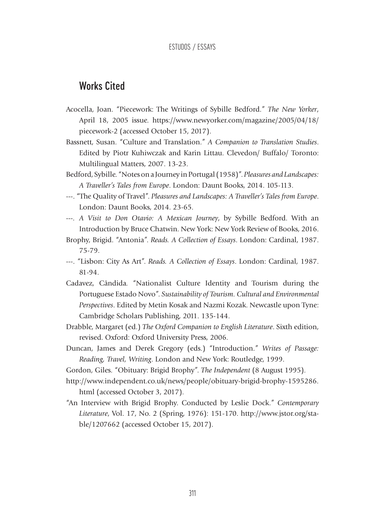# Works Cited

- Acocella, Joan. "Piecework: The Writings of Sybille Bedford." *The New Yorker*, April 18, 2005 issue. https://www.newyorker.com/magazine/2005/04/18/ piecework-2 (accessed October 15, 2017).
- Bassnett, Susan. "Culture and Translation." *A Companion to Translation Studies*. Edited by Piotr Kuhiwczak and Karin Littau. Clevedon/ Buffalo/ Toronto: Multilingual Matters, 2007. 13-23.
- Bedford, Sybille. "Notes on a Journey in Portugal (1958)". *Pleasures and Landscapes: A Traveller's Tales from Europe*. London: Daunt Books, 2014. 105-113.
- ---. "The Quality of Travel". *Pleasures and Landscapes: A Traveller's Tales from Europe*. London: Daunt Books, 2014. 23-65.
- ---*. A Visit to Don Otavio: A Mexican Journey*, by Sybille Bedford. With an Introduction by Bruce Chatwin. New York: New York Review of Books, 2016.
- Brophy, Brigid. "Antonia". *Reads. A Collection of Essays*. London: Cardinal, 1987. 75-79.
- ---. "Lisbon: City As Art". *Reads. A Collection of Essays*. London: Cardinal, 1987. 81-94.
- Cadavez, Cândida. "Nationalist Culture Identity and Tourism during the Portuguese Estado Novo". *Sustainability of Tourism. Cultural and Environmental Perspectives*. Edited by Metin Kosak and Nazmi Kozak. Newcastle upon Tyne: Cambridge Scholars Publishing, 2011. 135-144.
- Drabble, Margaret (ed.) *The Oxford Companion to English Literature*. Sixth edition, revised. Oxford: Oxford University Press, 2006.
- Duncan, James and Derek Gregory (eds.) "Introduction." *Writes of Passage: Reading, Travel, Writing*. London and New York: Routledge, 1999.
- Gordon, Giles. "Obituary: Brigid Brophy". *The Independent* (8 August 1995).
- http://www.independent.co.uk/news/people/obituary-brigid-brophy-1595286. html (accessed October 3, 2017).
- "An Interview with Brigid Brophy. Conducted by Leslie Dock." *Contemporary Literature*, Vol. 17, No. 2 (Spring, 1976): 151-170. http://www.jstor.org/stable/1207662 (accessed October 15, 2017).